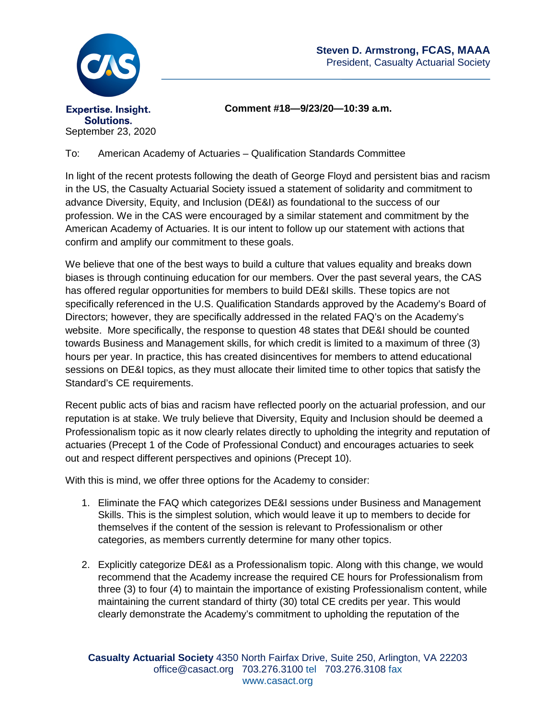

**Comment #18—9/23/20—10:39 a.m.**

To: American Academy of Actuaries – Qualification Standards Committee

In light of the recent protests following the death of George Floyd and persistent bias and racism in the US, the Casualty Actuarial Society issued a statement of solidarity and commitment to advance Diversity, Equity, and Inclusion (DE&I) as foundational to the success of our profession. We in the CAS were encouraged by a similar statement and commitment by the American Academy of Actuaries. It is our intent to follow up our statement with actions that confirm and amplify our commitment to these goals.

We believe that one of the best ways to build a culture that values equality and breaks down biases is through continuing education for our members. Over the past several years, the CAS has offered regular opportunities for members to build DE&I skills. These topics are not specifically referenced in the U.S. Qualification Standards approved by the Academy's Board of Directors; however, they are specifically addressed in the related FAQ's on the Academy's website. More specifically, the response to question 48 states that DE&I should be counted towards Business and Management skills, for which credit is limited to a maximum of three (3) hours per year. In practice, this has created disincentives for members to attend educational sessions on DE&I topics, as they must allocate their limited time to other topics that satisfy the Standard's CE requirements.

Recent public acts of bias and racism have reflected poorly on the actuarial profession, and our reputation is at stake. We truly believe that Diversity, Equity and Inclusion should be deemed a Professionalism topic as it now clearly relates directly to upholding the integrity and reputation of actuaries (Precept 1 of the Code of Professional Conduct) and encourages actuaries to seek out and respect different perspectives and opinions (Precept 10).

With this is mind, we offer three options for the Academy to consider:

- 1. Eliminate the FAQ which categorizes DE&I sessions under Business and Management Skills. This is the simplest solution, which would leave it up to members to decide for themselves if the content of the session is relevant to Professionalism or other categories, as members currently determine for many other topics.
- 2. Explicitly categorize DE&I as a Professionalism topic. Along with this change, we would recommend that the Academy increase the required CE hours for Professionalism from three (3) to four (4) to maintain the importance of existing Professionalism content, while maintaining the current standard of thirty (30) total CE credits per year. This would clearly demonstrate the Academy's commitment to upholding the reputation of the

**Casualty Actuarial Society** 4350 North Fairfax Drive, Suite 250, Arlington, VA 22203 office@casact.org 703.276.3100 tel 703.276.3108 fax www.casact.org